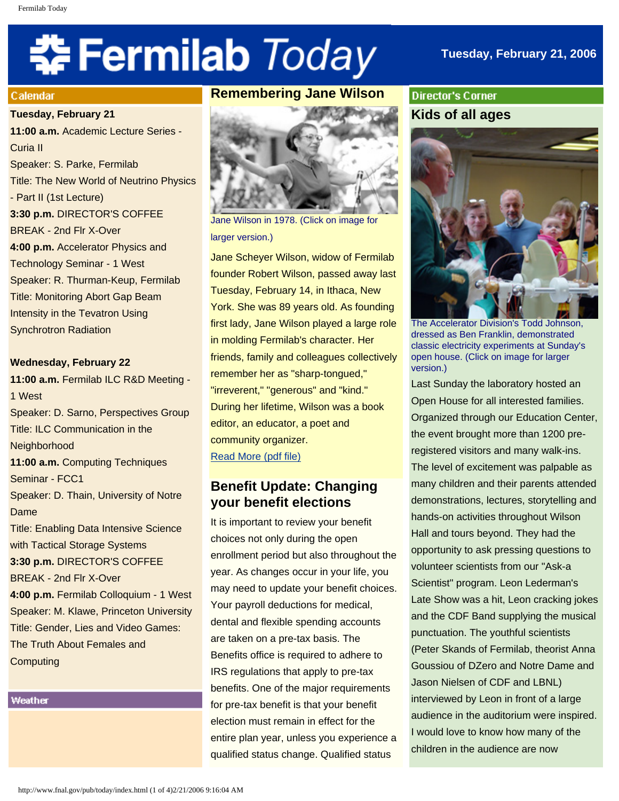# 축 Fermilab Today

## **Tuesday, February 21, 2006**

#### Calendar

**Tuesday, February 21 11:00 a.m.** Academic Lecture Series - Curia II Speaker: S. Parke, Fermilab Title: The New World of Neutrino Physics - Part II (1st Lecture) **3:30 p.m.** DIRECTOR'S COFFEE BREAK - 2nd Flr X-Over **4:00 p.m.** Accelerator Physics and Technology Seminar - 1 West Speaker: R. Thurman-Keup, Fermilab Title: Monitoring Abort Gap Beam Intensity in the Tevatron Using Synchrotron Radiation

#### **Wednesday, February 22**

**11:00 a.m.** Fermilab ILC R&D Meeting - 1 West Speaker: D. Sarno, Perspectives Group Title: ILC Communication in the **Neighborhood 11:00 a.m.** Computing Techniques Seminar - FCC1 Speaker: D. Thain, University of Notre Dame Title: Enabling Data Intensive Science with Tactical Storage Systems **3:30 p.m.** DIRECTOR'S COFFEE BREAK - 2nd Flr X-Over **4:00 p.m.** Fermilab Colloquium - 1 West Speaker: M. Klawe, Princeton University Title: Gender, Lies and Video Games: The Truth About Females and **Computing** 

Weather

# **Remembering Jane Wilson**



Jane Wilson in 1978. (Click on image for larger version.)

Jane Scheyer Wilson, widow of Fermilab founder Robert Wilson, passed away last Tuesday, February 14, in Ithaca, New York. She was 89 years old. As founding first lady, Jane Wilson played a large role in molding Fermilab's character. Her friends, family and colleagues collectively remember her as "sharp-tongued," "irreverent," "generous" and "kind." During her lifetime, Wilson was a book editor, an educator, a poet and community organizer. [Read More \(pdf file\)](http://www.fnal.gov/directorate/program_planning/Jane_Wilson.pdf) 

# **Benefit Update: Changing your benefit elections**

It is important to review your benefit choices not only during the open enrollment period but also throughout the year. As changes occur in your life, you may need to update your benefit choices. Your payroll deductions for medical, dental and flexible spending accounts are taken on a pre-tax basis. The Benefits office is required to adhere to IRS regulations that apply to pre-tax benefits. One of the major requirements for pre-tax benefit is that your benefit election must remain in effect for the entire plan year, unless you experience a qualified status change. Qualified status

**Director's Corner Kids of all ages** 



The Accelerator Division's Todd Johnson, dressed as Ben Franklin, demonstrated classic electricity experiments at Sunday's open house. (Click on image for larger version.)

Last Sunday the laboratory hosted an Open House for all interested families. Organized through our Education Center, the event brought more than 1200 preregistered visitors and many walk-ins. The level of excitement was palpable as many children and their parents attended demonstrations, lectures, storytelling and hands-on activities throughout Wilson Hall and tours beyond. They had the opportunity to ask pressing questions to volunteer scientists from our "Ask-a Scientist" program. Leon Lederman's Late Show was a hit, Leon cracking jokes and the CDF Band supplying the musical punctuation. The youthful scientists (Peter Skands of Fermilab, theorist Anna Goussiou of DZero and Notre Dame and Jason Nielsen of CDF and LBNL) interviewed by Leon in front of a large audience in the auditorium were inspired. I would love to know how many of the children in the audience are now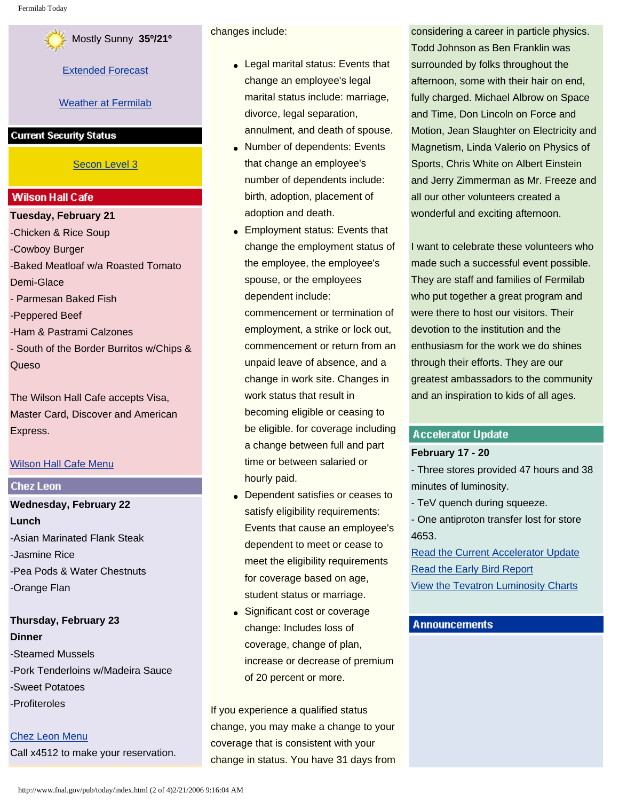

[Extended Forecast](http://www.srh.noaa.gov/data/forecasts/ILZ012.php?warncounty=ILC089&city=Batavia)

#### [Weather at Fermilab](http://www-esh.fnal.gov/pls/default/weather.html)

#### **Current Security Status**

#### [Secon Level 3](http://www.fnal.gov/pub/about/public_affairs/currentstatus.html)

#### **Wilson Hall Cafe**

**Tuesday, February 21** -Chicken & Rice Soup -Cowboy Burger -Baked Meatloaf w/a Roasted Tomato Demi-Glace - Parmesan Baked Fish -Peppered Beef -Ham & Pastrami Calzones - South of the Border Burritos w/Chips & Queso

The Wilson Hall Cafe accepts Visa, Master Card, Discover and American Express.

#### [Wilson Hall Cafe Menu](http://lss.fnal.gov/cafe/)

#### **Chez Leon**

**Wednesday, February 22 Lunch** -Asian Marinated Flank Steak -Jasmine Rice -Pea Pods & Water Chestnuts -Orange Flan

### **Thursday, February 23 Dinner**

-Steamed Mussels -Pork Tenderloins w/Madeira Sauce -Sweet Potatoes -Profiteroles

[Chez Leon Menu](http://lss.fnal.gov/chezleon/index.html) Call x4512 to make your reservation. changes include:

- Legal marital status: Events that change an employee's legal marital status include: marriage, divorce, legal separation, annulment, and death of spouse.
- Number of dependents: Events that change an employee's number of dependents include: birth, adoption, placement of adoption and death.
- Employment status: Events that change the employment status of the employee, the employee's spouse, or the employees dependent include:

commencement or termination of employment, a strike or lock out, commencement or return from an unpaid leave of absence, and a change in work site. Changes in work status that result in becoming eligible or ceasing to be eligible. for coverage including a change between full and part time or between salaried or hourly paid.

- Dependent satisfies or ceases to satisfy eligibility requirements: Events that cause an employee's dependent to meet or cease to meet the eligibility requirements for coverage based on age, student status or marriage.
- Significant cost or coverage change: Includes loss of coverage, change of plan, increase or decrease of premium of 20 percent or more.

If you experience a qualified status change, you may make a change to your coverage that is consistent with your change in status. You have 31 days from

considering a career in particle physics. Todd Johnson as Ben Franklin was surrounded by folks throughout the afternoon, some with their hair on end, fully charged. Michael Albrow on Space and Time, Don Lincoln on Force and Motion, Jean Slaughter on Electricity and Magnetism, Linda Valerio on Physics of Sports, Chris White on Albert Einstein and Jerry Zimmerman as Mr. Freeze and all our other volunteers created a wonderful and exciting afternoon.

I want to celebrate these volunteers who made such a successful event possible. They are staff and families of Fermilab who put together a great program and were there to host our visitors. Their devotion to the institution and the enthusiasm for the work we do shines through their efforts. They are our greatest ambassadors to the community and an inspiration to kids of all ages.

#### **Accelerator Update**

#### **February 17 - 20**

- Three stores provided 47 hours and 38 minutes of luminosity.

- TeV quench during squeeze.

- One antiproton transfer lost for store 4653.

[Read the Current Accelerator Update](http://www.fnal.gov/pub/news06/update.html) [Read the Early Bird Report](http://www-bd.fnal.gov/earlybird/ebird.html) [View the Tevatron Luminosity Charts](http://www.fnal.gov/pub/now/tevlum.html)

#### **Announcements**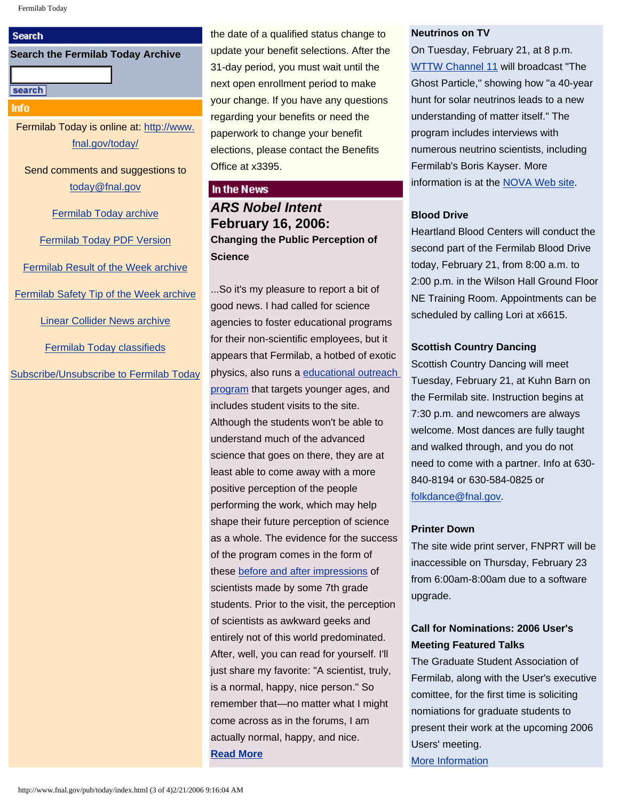#### **Search**

#### **Search the Fermilab Today Archive**

#### search

**Info** 

Fermilab Today is online at: [http://www.](http://www.fnal.gov/today/) [fnal.gov/today/](http://www.fnal.gov/today/)

Send comments and suggestions to [today@fnal.gov](mailto:today@fnal.gov)

[Fermilab Today archive](http://www.fnal.gov/pub/today/archive.html)

[Fermilab Today PDF Version](http://www.fnal.gov/pub/today/archive.html)

[Fermilab Result of the Week archive](http://www.fnal.gov/pub/today/resultoftheweek/index.html)

[Fermilab Safety Tip of the Week archive](http://www.fnal.gov/pub/today/safety/index.html)

[Linear Collider News archive](http://www.fnal.gov/pub/today/linearcollider/index.html)

[Fermilab Today classifieds](http://www.fnal.gov/pub/today/classifieds.html)

[Subscribe/Unsubscribe to Fermilab Today](http://www.fnal.gov/pub/today/subscription.html)

the date of a qualified status change to update your benefit selections. After the 31-day period, you must wait until the next open enrollment period to make your change. If you have any questions regarding your benefits or need the paperwork to change your benefit elections, please contact the Benefits Office at x3395.

#### In the News

*ARS Nobel Intent* **February 16, 2006: Changing the Public Perception of Science**

...So it's my pleasure to report a bit of good news. I had called for science agencies to foster educational programs for their non-scientific employees, but it appears that Fermilab, a hotbed of exotic physics, also runs a [educational outreach](http://www-ed.fnal.gov/)  [program](http://www-ed.fnal.gov/) that targets younger ages, and includes student visits to the site. Although the students won't be able to understand much of the advanced science that goes on there, they are at least able to come away with a more positive perception of the people performing the work, which may help shape their future perception of science as a whole. The evidence for the success of the program comes in the form of these [before and after impressions](http://www-ed.fnal.gov/projects/scientists/index1.html) of scientists made by some 7th grade students. Prior to the visit, the perception of scientists as awkward geeks and entirely not of this world predominated. After, well, you can read for yourself. I'll just share my favorite: "A scientist, truly, is a normal, happy, nice person." So remember that—no matter what I might come across as in the forums, I am actually normal, happy, and nice. **[Read More](http://arstechnica.com/journals/science.ars/2006/2/16/2888)**

#### **Neutrinos on TV**

On Tuesday, February 21, at 8 p.m. [WTTW Channel 11](http://www.wttw.com/main.taf?erube_fh=wttw&wttw.submit.EpisodeDetail=1&wttw.EpisodeID=133012&wttw.Channel=WTTW) will broadcast "The Ghost Particle," showing how "a 40-year hunt for solar neutrinos leads to a new understanding of matter itself." The program includes interviews with numerous neutrino scientists, including Fermilab's Boris Kayser. More information is at the [NOVA Web site](http://www.pbs.org/wgbh/nova/neutrino/).

#### **Blood Drive**

Heartland Blood Centers will conduct the second part of the Fermilab Blood Drive today, February 21, from 8:00 a.m. to 2:00 p.m. in the Wilson Hall Ground Floor NE Training Room. Appointments can be scheduled by calling Lori at x6615.

#### **Scottish Country Dancing**

Scottish Country Dancing will meet Tuesday, February 21, at Kuhn Barn on the Fermilab site. Instruction begins at 7:30 p.m. and newcomers are always welcome. Most dances are fully taught and walked through, and you do not need to come with a partner. Info at 630- 840-8194 or 630-584-0825 or [folkdance@fnal.gov.](mailto:folkdance@fnal.gov)

#### **Printer Down**

The site wide print server, FNPRT will be inaccessible on Thursday, February 23 from 6:00am-8:00am due to a software upgrade.

# **Call for Nominations: 2006 User's Meeting Featured Talks**

The Graduate Student Association of Fermilab, along with the User's executive comittee, for the first time is soliciting nomiations for graduate students to present their work at the upcoming 2006 Users' meeting. [More Information](http://www.fnal.gov/pub/today/Call_For_Nominations.pdf)